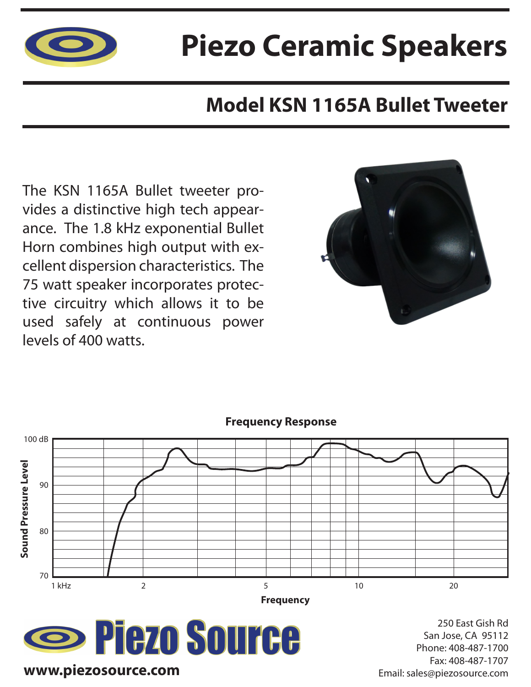

# **Piezo Ceramic Speakers**

### **Model KSN 1165A Bullet Tweeter**

The KSN 1165A Bullet tweeter provides a distinctive high tech appearance. The 1.8 kHz exponential Bullet Horn combines high output with excellent dispersion characteristics. The 75 watt speaker incorporates protective circuitry which allows it to be used safely at continuous power levels of 400 watts.





#### **Frequency Response**



250 East Gish Rd San Jose, CA 95112 Phone: 408-487-1700 Fax: 408-487-1707 Email: sales@piezosource.com